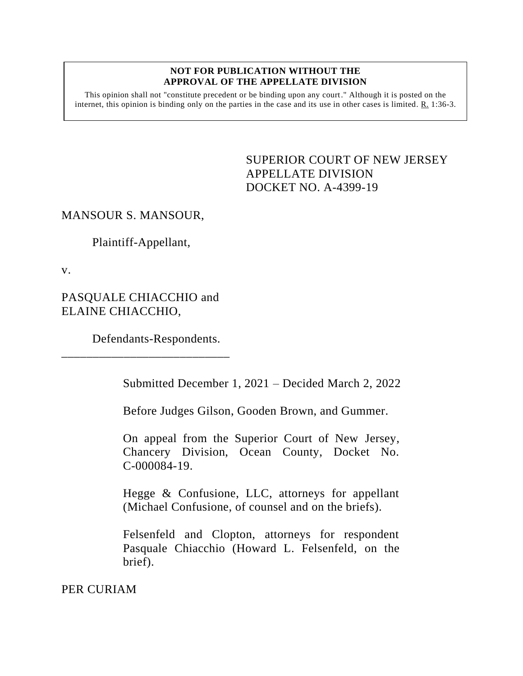## **NOT FOR PUBLICATION WITHOUT THE APPROVAL OF THE APPELLATE DIVISION**

This opinion shall not "constitute precedent or be binding upon any court." Although it is posted on the internet, this opinion is binding only on the parties in the case and its use in other cases is limited. R. 1:36-3.

> <span id="page-0-0"></span>SUPERIOR COURT OF NEW JERSEY APPELLATE DIVISION DOCKET NO. A-4399-19

## MANSOUR S. MANSOUR,

Plaintiff-Appellant,

v.

PASQUALE CHIACCHIO and ELAINE CHIACCHIO,

Defendants-Respondents.

\_\_\_\_\_\_\_\_\_\_\_\_\_\_\_\_\_\_\_\_\_\_\_\_\_\_\_

Submitted December 1, 2021 – Decided March 2, 2022

Before Judges Gilson, Gooden Brown, and Gummer.

On appeal from the Superior Court of New Jersey, Chancery Division, Ocean County, Docket No. C-000084-19.

Hegge & Confusione, LLC, attorneys for appellant (Michael Confusione, of counsel and on the briefs).

Felsenfeld and Clopton, attorneys for respondent Pasquale Chiacchio (Howard L. Felsenfeld, on the brief).

PER CURIAM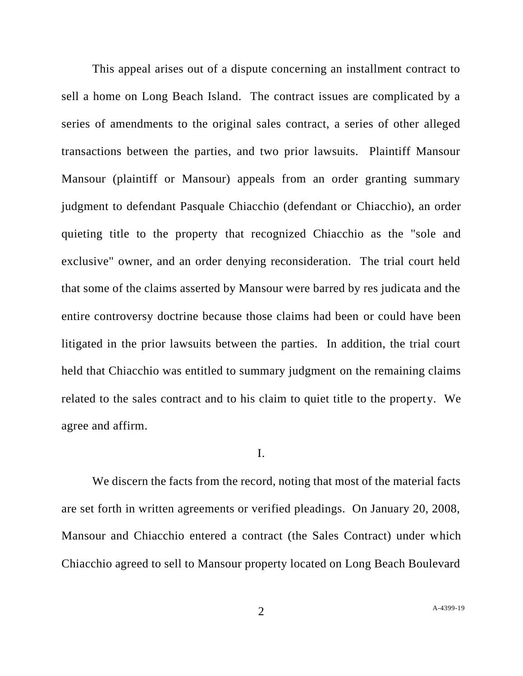This appeal arises out of a dispute concerning an installment contract to sell a home on Long Beach Island. The contract issues are complicated by a series of amendments to the original sales contract, a series of other alleged transactions between the parties, and two prior lawsuits. Plaintiff Mansour Mansour (plaintiff or Mansour) appeals from an order granting summary judgment to defendant Pasquale Chiacchio (defendant or Chiacchio), an order quieting title to the property that recognized Chiacchio as the "sole and exclusive" owner, and an order denying reconsideration. The trial court held that some of the claims asserted by Mansour were barred by res judicata and the entire controversy doctrine because those claims had been or could have been litigated in the prior lawsuits between the parties. In addition, the trial court held that Chiacchio was entitled to summary judgment on the remaining claims related to the sales contract and to his claim to quiet title to the property. We agree and affirm.

## I.

We discern the facts from the record, noting that most of the material facts are set forth in written agreements or verified pleadings. On January 20, 2008, Mansour and Chiacchio entered a contract (the Sales Contract) under which Chiacchio agreed to sell to Mansour property located on Long Beach Boulevard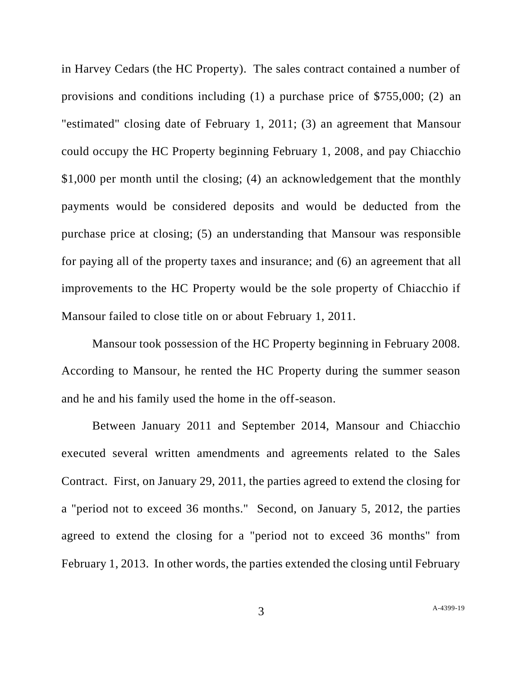in Harvey Cedars (the HC Property). The sales contract contained a number of provisions and conditions including (1) a purchase price of \$755,000; (2) an "estimated" closing date of February 1, 2011; (3) an agreement that Mansour could occupy the HC Property beginning February 1, 2008, and pay Chiacchio \$1,000 per month until the closing; (4) an acknowledgement that the monthly payments would be considered deposits and would be deducted from the purchase price at closing; (5) an understanding that Mansour was responsible for paying all of the property taxes and insurance; and (6) an agreement that all improvements to the HC Property would be the sole property of Chiacchio if Mansour failed to close title on or about February 1, 2011.

Mansour took possession of the HC Property beginning in February 2008. According to Mansour, he rented the HC Property during the summer season and he and his family used the home in the off-season.

Between January 2011 and September 2014, Mansour and Chiacchio executed several written amendments and agreements related to the Sales Contract. First, on January 29, 2011, the parties agreed to extend the closing for a "period not to exceed 36 months." Second, on January 5, 2012, the parties agreed to extend the closing for a "period not to exceed 36 months" from February 1, 2013. In other words, the parties extended the closing until February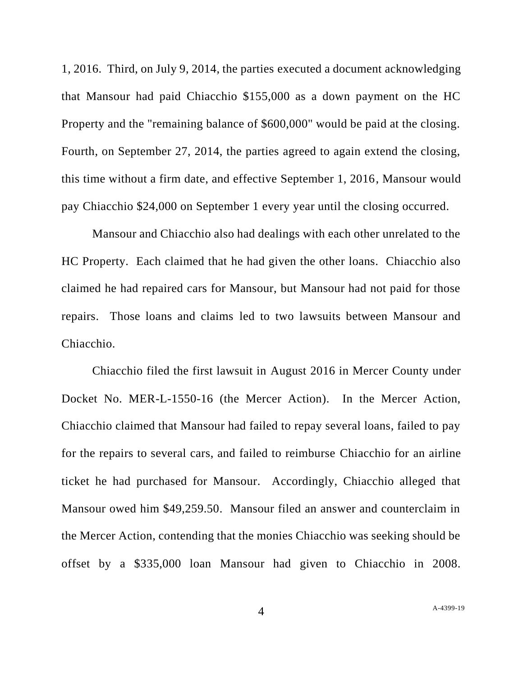1, 2016. Third, on July 9, 2014, the parties executed a document acknowledging that Mansour had paid Chiacchio \$155,000 as a down payment on the HC Property and the "remaining balance of \$600,000" would be paid at the closing. Fourth, on September 27, 2014, the parties agreed to again extend the closing, this time without a firm date, and effective September 1, 2016, Mansour would pay Chiacchio \$24,000 on September 1 every year until the closing occurred.

Mansour and Chiacchio also had dealings with each other unrelated to the HC Property. Each claimed that he had given the other loans. Chiacchio also claimed he had repaired cars for Mansour, but Mansour had not paid for those repairs. Those loans and claims led to two lawsuits between Mansour and Chiacchio.

Chiacchio filed the first lawsuit in August 2016 in Mercer County under Docket No. MER-L-1550-16 (the Mercer Action). In the Mercer Action, Chiacchio claimed that Mansour had failed to repay several loans, failed to pay for the repairs to several cars, and failed to reimburse Chiacchio for an airline ticket he had purchased for Mansour. Accordingly, Chiacchio alleged that Mansour owed him \$49,259.50. Mansour filed an answer and counterclaim in the Mercer Action, contending that the monies Chiacchio was seeking should be offset by a \$335,000 loan Mansour had given to Chiacchio in 2008.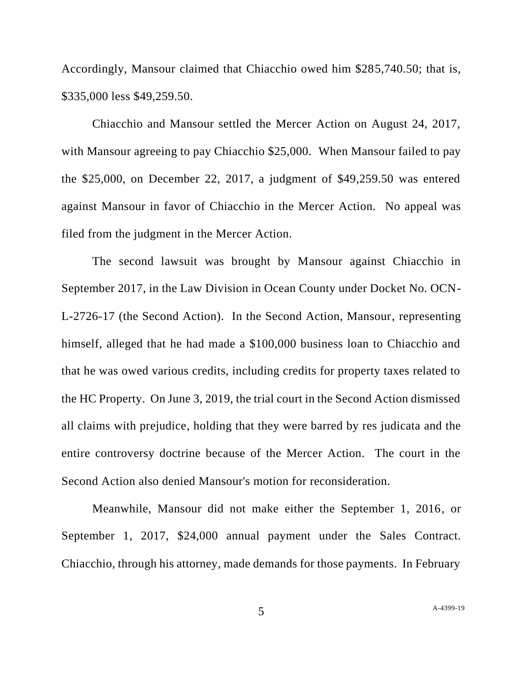Accordingly, Mansour claimed that Chiacchio owed him \$285,740.50; that is, \$335,000 less \$49,259.50.

Chiacchio and Mansour settled the Mercer Action on August 24, 2017, with Mansour agreeing to pay Chiacchio \$25,000. When Mansour failed to pay the \$25,000, on December 22, 2017, a judgment of \$49,259.50 was entered against Mansour in favor of Chiacchio in the Mercer Action. No appeal was filed from the judgment in the Mercer Action.

The second lawsuit was brought by Mansour against Chiacchio in September 2017, in the Law Division in Ocean County under Docket No. OCN-L-2726-17 (the Second Action). In the Second Action, Mansour, representing himself, alleged that he had made a \$100,000 business loan to Chiacchio and that he was owed various credits, including credits for property taxes related to the HC Property. On June 3, 2019, the trial court in the Second Action dismissed all claims with prejudice, holding that they were barred by res judicata and the entire controversy doctrine because of the Mercer Action. The court in the Second Action also denied Mansour's motion for reconsideration.

Meanwhile, Mansour did not make either the September 1, 2016, or September 1, 2017, \$24,000 annual payment under the Sales Contract. Chiacchio, through his attorney, made demands for those payments. In February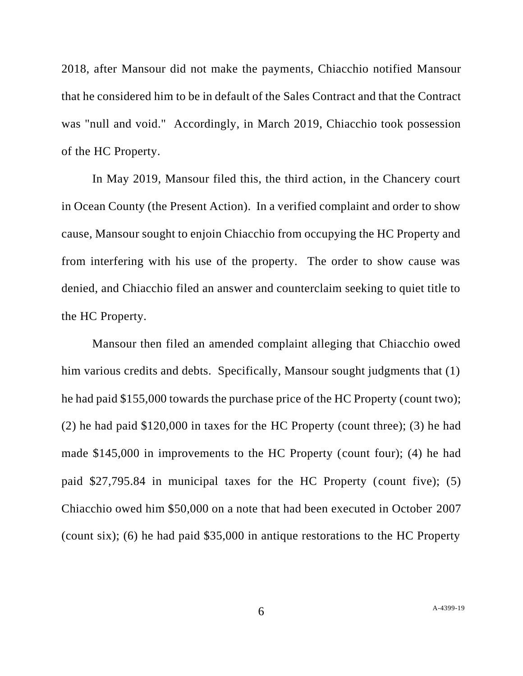2018, after Mansour did not make the payments, Chiacchio notified Mansour that he considered him to be in default of the Sales Contract and that the Contract was "null and void." Accordingly, in March 2019, Chiacchio took possession of the HC Property.

In May 2019, Mansour filed this, the third action, in the Chancery court in Ocean County (the Present Action). In a verified complaint and order to show cause, Mansour sought to enjoin Chiacchio from occupying the HC Property and from interfering with his use of the property. The order to show cause was denied, and Chiacchio filed an answer and counterclaim seeking to quiet title to the HC Property.

Mansour then filed an amended complaint alleging that Chiacchio owed him various credits and debts. Specifically, Mansour sought judgments that (1) he had paid \$155,000 towards the purchase price of the HC Property (count two); (2) he had paid \$120,000 in taxes for the HC Property (count three); (3) he had made \$145,000 in improvements to the HC Property (count four); (4) he had paid \$27,795.84 in municipal taxes for the HC Property (count five); (5) Chiacchio owed him \$50,000 on a note that had been executed in October 2007 (count six); (6) he had paid \$35,000 in antique restorations to the HC Property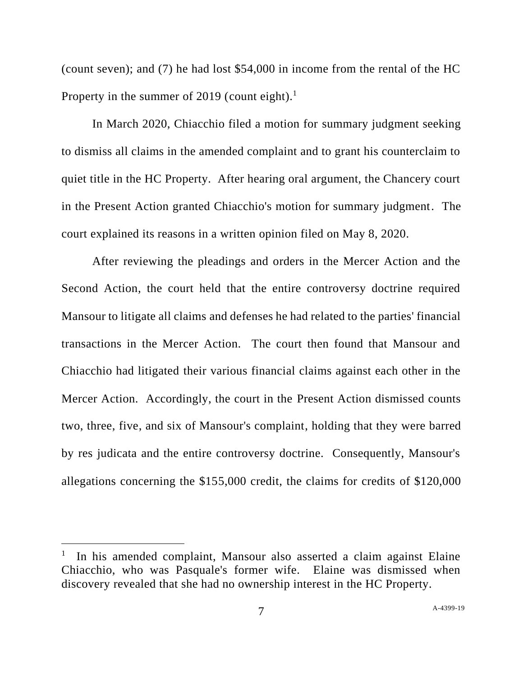(count seven); and (7) he had lost \$54,000 in income from the rental of the HC Property in the summer of 2019 (count eight).<sup>1</sup>

In March 2020, Chiacchio filed a motion for summary judgment seeking to dismiss all claims in the amended complaint and to grant his counterclaim to quiet title in the HC Property. After hearing oral argument, the Chancery court in the Present Action granted Chiacchio's motion for summary judgment. The court explained its reasons in a written opinion filed on May 8, 2020.

After reviewing the pleadings and orders in the Mercer Action and the Second Action, the court held that the entire controversy doctrine required Mansour to litigate all claims and defenses he had related to the parties' financial transactions in the Mercer Action. The court then found that Mansour and Chiacchio had litigated their various financial claims against each other in the Mercer Action. Accordingly, the court in the Present Action dismissed counts two, three, five, and six of Mansour's complaint, holding that they were barred by res judicata and the entire controversy doctrine. Consequently, Mansour's allegations concerning the \$155,000 credit, the claims for credits of \$120,000

<sup>&</sup>lt;sup>1</sup> In his amended complaint, Mansour also asserted a claim against Elaine Chiacchio, who was Pasquale's former wife. Elaine was dismissed when discovery revealed that she had no ownership interest in the HC Property.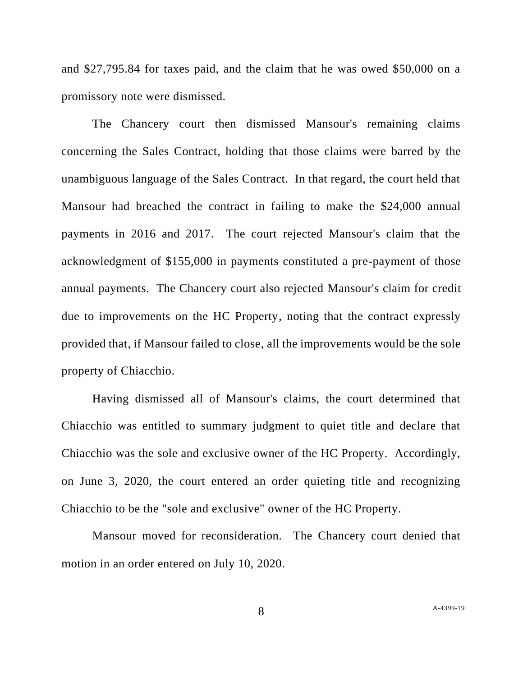and \$27,795.84 for taxes paid, and the claim that he was owed \$50,000 on a promissory note were dismissed.

The Chancery court then dismissed Mansour's remaining claims concerning the Sales Contract, holding that those claims were barred by the unambiguous language of the Sales Contract. In that regard, the court held that Mansour had breached the contract in failing to make the \$24,000 annual payments in 2016 and 2017. The court rejected Mansour's claim that the acknowledgment of \$155,000 in payments constituted a pre-payment of those annual payments. The Chancery court also rejected Mansour's claim for credit due to improvements on the HC Property, noting that the contract expressly provided that, if Mansour failed to close, all the improvements would be the sole property of Chiacchio.

Having dismissed all of Mansour's claims, the court determined that Chiacchio was entitled to summary judgment to quiet title and declare that Chiacchio was the sole and exclusive owner of the HC Property. Accordingly, on June 3, 2020, the court entered an order quieting title and recognizing Chiacchio to be the "sole and exclusive" owner of the HC Property.

Mansour moved for reconsideration. The Chancery court denied that motion in an order entered on July 10, 2020.

8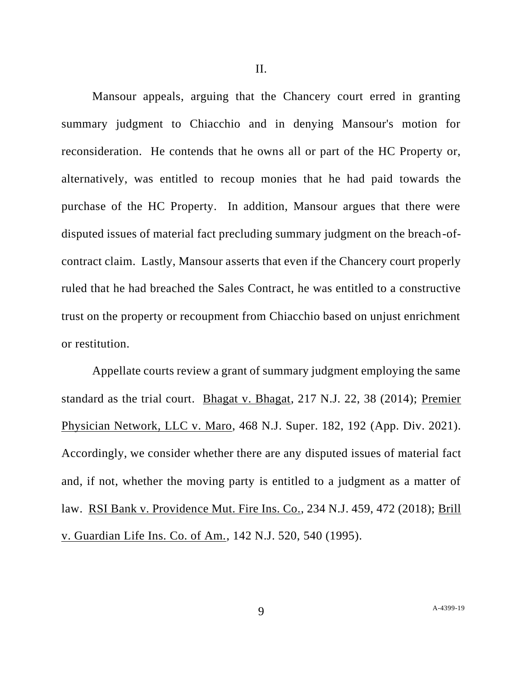Mansour appeals, arguing that the Chancery court erred in granting summary judgment to Chiacchio and in denying Mansour's motion for reconsideration. He contends that he owns all or part of the HC Property or, alternatively, was entitled to recoup monies that he had paid towards the purchase of the HC Property. In addition, Mansour argues that there were disputed issues of material fact precluding summary judgment on the breach-ofcontract claim. Lastly, Mansour asserts that even if the Chancery court properly ruled that he had breached the Sales Contract, he was entitled to a constructive trust on the property or recoupment from Chiacchio based on unjust enrichment or restitution.

Appellate courts review a grant of summary judgment employing the same standard as the trial court. Bhagat v. Bhagat, 217 N.J. 22, 38 (2014); Premier Physician Network, LLC v. Maro, 468 N.J. Super. 182, 192 (App. Div. 2021). Accordingly, we consider whether there are any disputed issues of material fact and, if not, whether the moving party is entitled to a judgment as a matter of law. RSI Bank v. Providence Mut. Fire Ins. Co., 234 N.J. 459, 472 (2018); Brill v. Guardian Life Ins. Co. of Am., 142 N.J. 520, 540 (1995).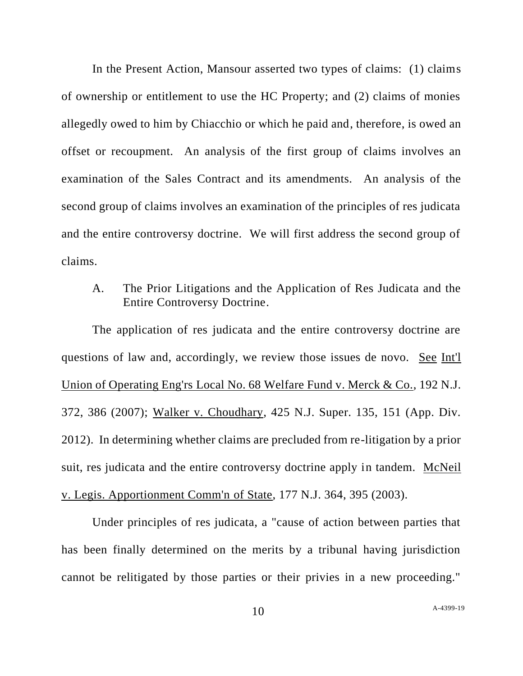In the Present Action, Mansour asserted two types of claims: (1) claims of ownership or entitlement to use the HC Property; and (2) claims of monies allegedly owed to him by Chiacchio or which he paid and, therefore, is owed an offset or recoupment. An analysis of the first group of claims involves an examination of the Sales Contract and its amendments. An analysis of the second group of claims involves an examination of the principles of res judicata and the entire controversy doctrine. We will first address the second group of claims.

A. The Prior Litigations and the Application of Res Judicata and the Entire Controversy Doctrine.

The application of res judicata and the entire controversy doctrine are questions of law and, accordingly, we review those issues de novo. See Int'l Union of Operating Eng'rs Local No. 68 Welfare Fund v. Merck & Co., 192 N.J. 372, 386 (2007); Walker v. Choudhary, 425 N.J. Super. 135, 151 (App. Div. 2012). In determining whether claims are precluded from re-litigation by a prior suit, res judicata and the entire controversy doctrine apply in tandem. McNeil v. Legis. Apportionment Comm'n of State, 177 N.J. 364, 395 (2003).

Under principles of res judicata, a "cause of action between parties that has been finally determined on the merits by a tribunal having jurisdiction cannot be relitigated by those parties or their privies in a new proceeding."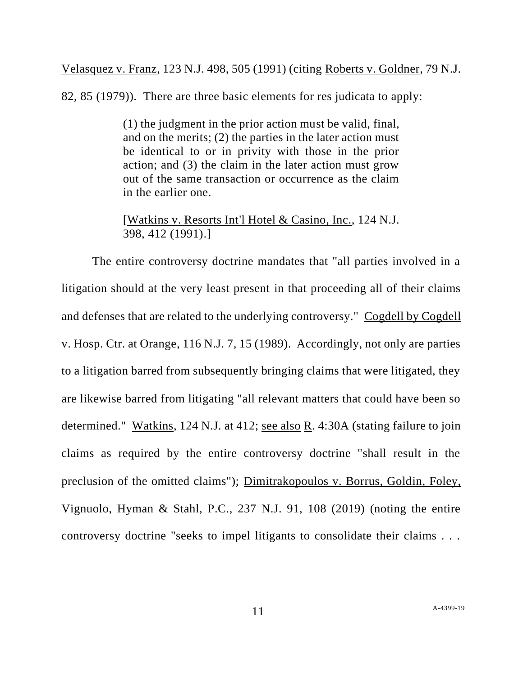Velasquez v. Franz, 123 N.J. 498, 505 (1991) (citing Roberts v. Goldner, 79 N.J.

82, 85 (1979)). There are three basic elements for res judicata to apply:

(1) the judgment in the prior action must be valid, final, and on the merits; (2) the parties in the later action must be identical to or in privity with those in the prior action; and (3) the claim in the later action must grow out of the same transaction or occurrence as the claim in the earlier one.

[Watkins v. Resorts Int'l Hotel & Casino, Inc., 124 N.J. 398, 412 (1991).]

The entire controversy doctrine mandates that "all parties involved in a litigation should at the very least present in that proceeding all of their claims and defenses that are related to the underlying controversy." Cogdell by Cogdell v. Hosp. Ctr. at Orange, 116 N.J. 7, 15 (1989). Accordingly, not only are parties to a litigation barred from subsequently bringing claims that were litigated, they are likewise barred from litigating "all relevant matters that could have been so determined." Watkins, 124 N.J. at 412; see also R. 4:30A (stating failure to join claims as required by the entire controversy doctrine "shall result in the preclusion of the omitted claims"); Dimitrakopoulos v. Borrus, Goldin, Foley, Vignuolo, Hyman & Stahl, P.C., 237 N.J. 91, 108 (2019) (noting the entire controversy doctrine "seeks to impel litigants to consolidate their claims . . .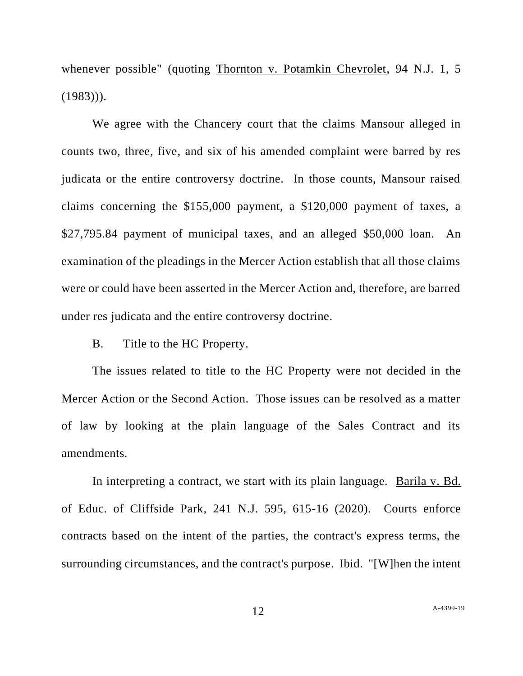whenever possible" (quoting Thornton v. Potamkin Chevrolet, 94 N.J. 1, 5  $(1983))$ .

We agree with the Chancery court that the claims Mansour alleged in counts two, three, five, and six of his amended complaint were barred by res judicata or the entire controversy doctrine. In those counts, Mansour raised claims concerning the \$155,000 payment, a \$120,000 payment of taxes, a \$27,795.84 payment of municipal taxes, and an alleged \$50,000 loan. An examination of the pleadings in the Mercer Action establish that all those claims were or could have been asserted in the Mercer Action and, therefore, are barred under res judicata and the entire controversy doctrine.

B. Title to the HC Property.

The issues related to title to the HC Property were not decided in the Mercer Action or the Second Action. Those issues can be resolved as a matter of law by looking at the plain language of the Sales Contract and its amendments.

In interpreting a contract, we start with its plain language. Barila v. Bd. of Educ. of Cliffside Park, 241 N.J. 595, 615-16 (2020). Courts enforce contracts based on the intent of the parties, the contract's express terms, the surrounding circumstances, and the contract's purpose. Ibid. "[W]hen the intent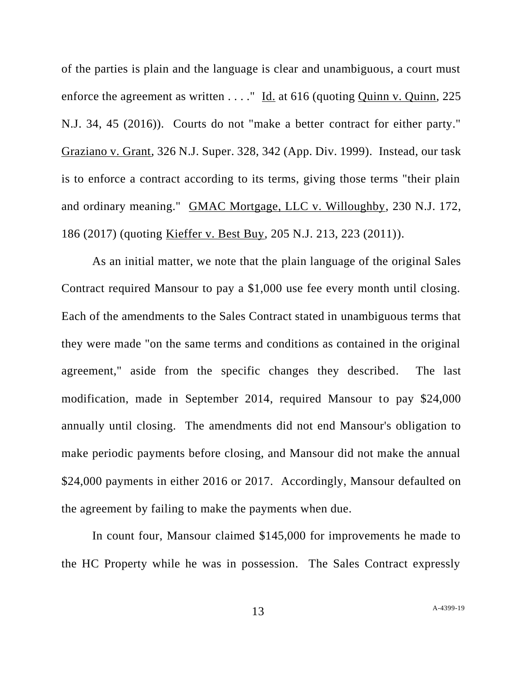of the parties is plain and the language is clear and unambiguous, a court must enforce the agreement as written . . . . " Id. at 616 (quoting Quinn v. Quinn, 225) N.J. 34, 45 (2016)). Courts do not "make a better contract for either party." Graziano v. Grant, 326 N.J. Super. 328, 342 (App. Div. 1999). Instead, our task is to enforce a contract according to its terms, giving those terms "their plain and ordinary meaning." GMAC Mortgage, LLC v. Willoughby, 230 N.J. 172, 186 (2017) (quoting Kieffer v. Best Buy, 205 N.J. 213, 223 (2011)).

As an initial matter, we note that the plain language of the original Sales Contract required Mansour to pay a \$1,000 use fee every month until closing. Each of the amendments to the Sales Contract stated in unambiguous terms that they were made "on the same terms and conditions as contained in the original agreement," aside from the specific changes they described. The last modification, made in September 2014, required Mansour to pay \$24,000 annually until closing. The amendments did not end Mansour's obligation to make periodic payments before closing, and Mansour did not make the annual \$24,000 payments in either 2016 or 2017. Accordingly, Mansour defaulted on the agreement by failing to make the payments when due.

In count four, Mansour claimed \$145,000 for improvements he made to the HC Property while he was in possession. The Sales Contract expressly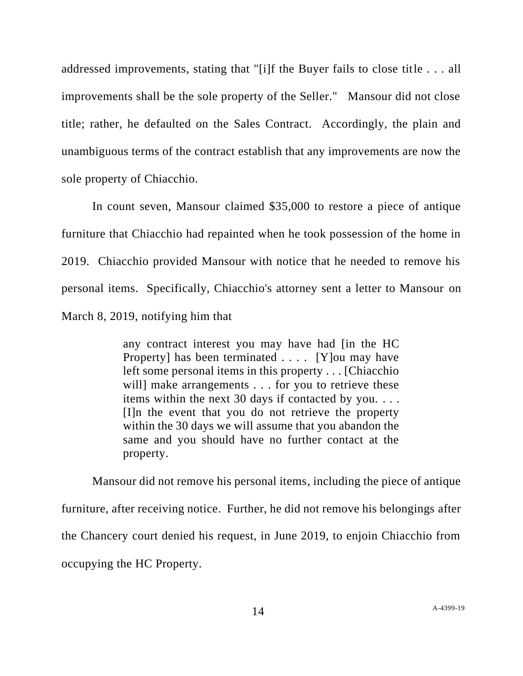addressed improvements, stating that "[i]f the Buyer fails to close title . . . all improvements shall be the sole property of the Seller." Mansour did not close title; rather, he defaulted on the Sales Contract. Accordingly, the plain and unambiguous terms of the contract establish that any improvements are now the sole property of Chiacchio.

In count seven, Mansour claimed \$35,000 to restore a piece of antique furniture that Chiacchio had repainted when he took possession of the home in 2019. Chiacchio provided Mansour with notice that he needed to remove his personal items. Specifically, Chiacchio's attorney sent a letter to Mansour on March 8, 2019, notifying him that

> any contract interest you may have had [in the HC Property] has been terminated . . . . [Y]ou may have left some personal items in this property . . . [Chiacchio will make arrangements . . . for you to retrieve these items within the next 30 days if contacted by you. . . . [I]n the event that you do not retrieve the property within the 30 days we will assume that you abandon the same and you should have no further contact at the property.

Mansour did not remove his personal items, including the piece of antique furniture, after receiving notice. Further, he did not remove his belongings after the Chancery court denied his request, in June 2019, to enjoin Chiacchio from occupying the HC Property.